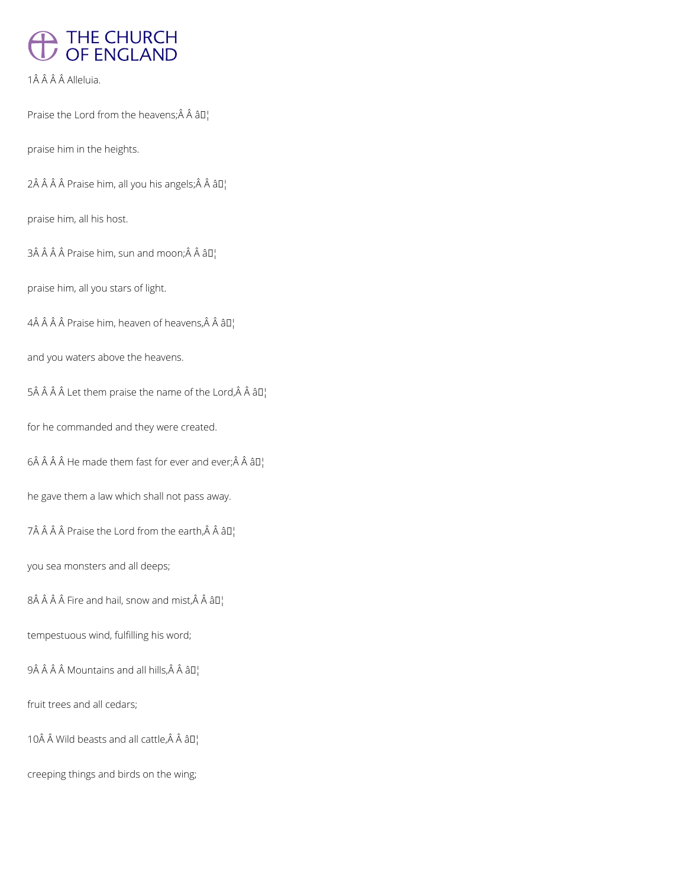# THE CHURCH<br>OF ENGLAND

1Â Â Â Â Alleluia.

Praise the Lord from the heavens; $\hat{A}$   $\hat{A}$   $\hat{a}$  $\Gamma$ 

praise him in the heights.

 $2\hat{A}$   $\hat{A}$   $\hat{A}$   $\hat{P}$  raise him, all you his angels;  $\hat{A}$   $\hat{A}$   $\hat{a}$   $\Pi$ <sub>1</sub>

praise him, all his host.

 $3\hat{A}$   $\hat{A}$   $\hat{A}$   $\hat{B}$  Praise him, sun and moon; $\hat{A}$   $\hat{A}$   $\hat{B}$  $\Gamma$ 

praise him, all you stars of light.

 $4\hat{A}$   $\hat{A}$   $\hat{A}$   $\hat{B}$  Praise him, heaven of heavens, $\hat{A}$   $\hat{A}$   $\hat{a}$   $\Box$ 

and you waters above the heavens.

5Â Â Â Â Let them praise the name of the Lord, Â Â â  $\mathbb{I}^1$ 

for he commanded and they were created.

 $6\hat{A}$   $\hat{A}$   $\hat{A}$  He made them fast for ever and ever; $\hat{A}$   $\hat{A}$   $\hat{a}$   $\Box$ 

he gave them a law which shall not pass away.

 $7\hat{A}$   $\hat{A}$   $\hat{A}$   $\hat{A}$  Praise the Lord from the earth, $\hat{A}$   $\hat{A}$   $\hat{a}$  $\Pi$ <sub>1</sub>

you sea monsters and all deeps;

 $8\hat{A}$   $\hat{A}$   $\hat{A}$  Fire and hail, snow and mist,  $\hat{A}$   $\hat{A}$   $\hat{a}$   $\Box$ 

tempestuous wind, fulfilling his word;

 $9\hat{A}$   $\hat{A}$   $\hat{A}$   $\hat{A}$  Mountains and all hills, $\hat{A}$   $\hat{A}$   $\hat{a}$  $\Pi$ <sub>1</sub>

fruit trees and all cedars;

10 $\hat{A}$   $\hat{A}$  Wild beasts and all cattle, $\hat{A}$   $\hat{A}$   $\hat{a}$  $\Pi$ <sub>1</sub>

creeping things and birds on the wing;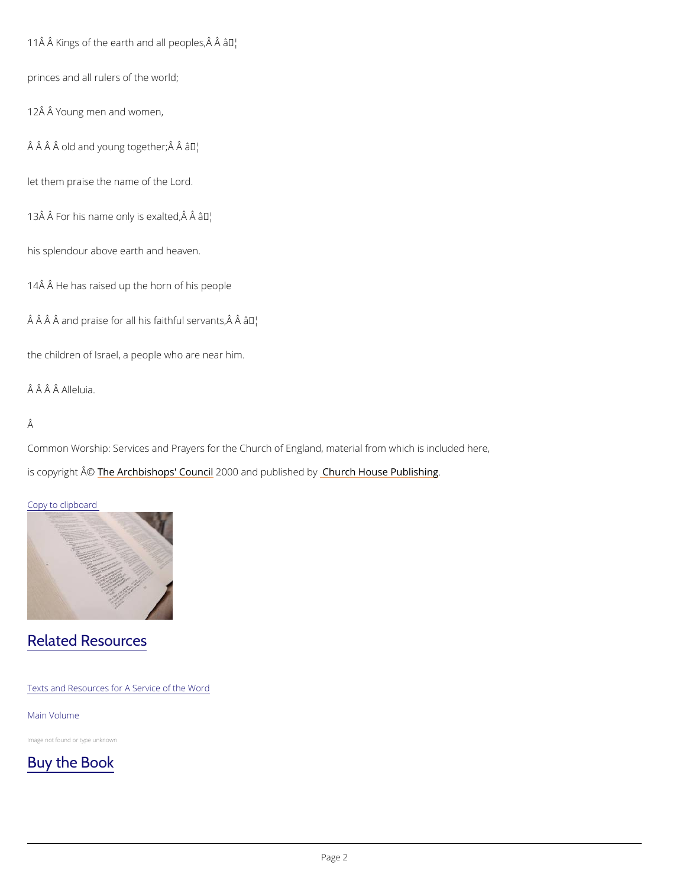11 $\hat{A}$  Kings of the earth and  $\hat{a}$  T<sup>M</sup> peoples,  $\hat{A}$   $\hat{A}$ 

princes and all rulers of the world;

12Â Â Young men and women,

 $\hat{A}$   $\hat{A}$   $\hat{A}$   $\hat{A}$  old and young  $\hat{a}$ t $\hat{b}$ gether;  $\hat{A}$   $\hat{A}$ 

let them praise the name of the Lord.

13 $\hat{A}$   $\hat{A}$  For his name only art lexalted,  $\hat{A}$   $\hat{A}$ 

his splendour above earth and heaven.

14Â Â He has raised up the horn of his people

 $\hat{A}$   $\hat{A}$   $\hat{A}$  and praise for all his farm the servants,  $\hat{A}$   $\hat{A}$ 

the children of Israel, a people who are near him.

Â Â Â Alleluia.

#### Â

Common Worship: Services and Prayers for the Church of England, material from which is inc is copyrighth  $\hat{\mathbb{A}}$  @Archbishops' 2CO of Ouncard publish by House Publishing

#### Copy to clipboard

### Related Resources

Texts and Resources for A Service of the Word

Main Volume

Image not found or type unknown

[Buy the Book](https://www.chpublishing.co.uk/books/9780715120002/common-worship-main-volume-hardback-black)